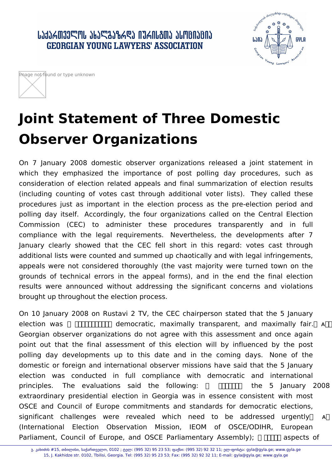## ᲡᲐᲥᲐᲠᲗᲕᲔᲚᲝᲡ ᲐᲮᲐᲚᲒᲐᲖᲠᲓᲐ ᲘᲣᲠᲘᲡᲒᲗᲐ ᲐᲡᲝᲪᲘᲐᲪᲘᲐ **GEORGIAN YOUNG LAWYERS' ASSOCIATION**





## **Joint Statement of Three Domestic Observer Organizations**

On 7 January 2008 domestic observer organizations released a joint statement in which they emphasized the importance of post polling day procedures, such as consideration of election related appeals and final summarization of election results (including counting of votes cast through additional voter lists). They called these procedures just as important in the election process as the pre-election period and polling day itself. Accordingly, the four organizations called on the Central Election Commission (CEC) to administer these procedures transparently and in full compliance with the legal requirements. Nevertheless, the developments after 7 January clearly showed that the CEC fell short in this regard: votes cast through additional lists were counted and summed up chaotically and with legal infringements, appeals were not considered thoroughly (the vast majority were turned town on the grounds of technical errors in the appeal forms), and in the end the final election results were announced without addressing the significant concerns and violations brought up throughout the election process.

On 10 January 2008 on Rustavi 2 TV, the CEC chairperson stated that the 5 January election was  $\Box$  $\Box$  $\Box$  democratic, maximally transparent, and maximally fair. A $\Box$ Georgian observer organizations do not agree with this assessment and once again point out that the final assessment of this election will by influenced by the post polling day developments up to this date and in the coming days. None of the domestic or foreign and international observer missions have said that the 5 January election was conducted in full compliance with democratic and international principles. The evaluations said the following:  $\Box$  $\Box$  the 5 January 2008 extraordinary presidential election in Georgia was in essence consistent with most OSCE and Council of Europe commitments and standards for democratic elections, significant challenges were revealed which need to be addressed urgently A (International Election Observation Mission, IEOM of OSCE/ODIHR, European Parliament, Council of Europe, and OSCE Parliamentary Assembly);  $\Box$  aspects of